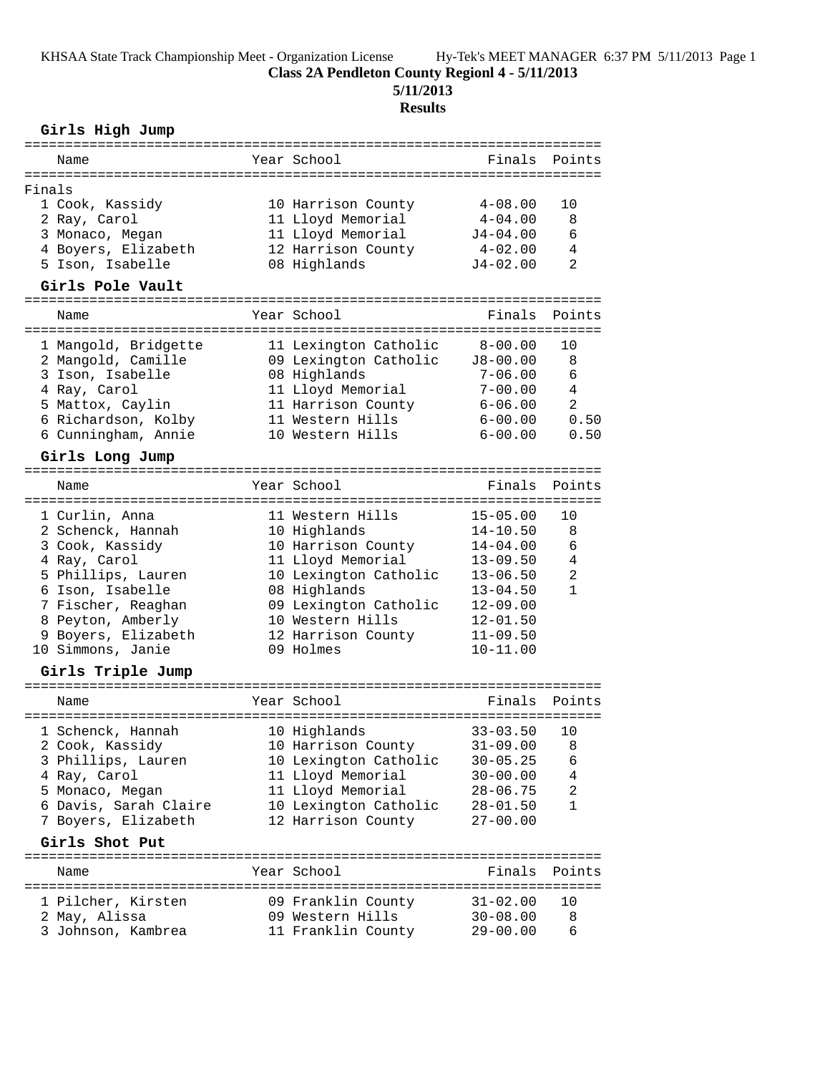**Class 2A Pendleton County Regionl 4 - 5/11/2013**

**5/11/2013**

# **Results**

### **Girls High Jump**

| Name                                          |  | Year School                   |              | Finals Points |  |  |
|-----------------------------------------------|--|-------------------------------|--------------|---------------|--|--|
| Finals                                        |  |                               |              |               |  |  |
| 1 Cook, Kassidy                               |  | 10 Harrison County            | $4 - 08.00$  | 10            |  |  |
| 2 Ray, Carol                                  |  | 11 Lloyd Memorial             | $4 - 04.00$  | 8             |  |  |
| 3 Monaco, Megan                               |  | 11 Lloyd Memorial             | $J4 - 04.00$ | 6             |  |  |
| 4 Boyers, Elizabeth                           |  | 12 Harrison County            | 4-02.00      | 4             |  |  |
| 5 Ison, Isabelle                              |  | 08 Highlands                  | $J4 - 02.00$ | 2             |  |  |
|                                               |  |                               |              |               |  |  |
| Girls Pole Vault                              |  |                               |              |               |  |  |
| Name                                          |  | Year School                   | Finals       | Points        |  |  |
| 1 Mangold, Bridgette                          |  | 11 Lexington Catholic 8-00.00 |              | 10            |  |  |
| 2 Mangold, Camille                            |  | 09 Lexington Catholic         | J8-00.00     | 8             |  |  |
| 3 Ison, Isabelle                              |  | 08 Highlands                  | $7 - 06.00$  | 6             |  |  |
| 4 Ray, Carol                                  |  | 11 Lloyd Memorial             | $7 - 00.00$  | 4             |  |  |
| 5 Mattox, Caylin                              |  | 11 Harrison County            | 6-06.00      | 2             |  |  |
| 6 Richardson, Kolby                           |  | 11 Western Hills              | $6 - 00.00$  | 0.50          |  |  |
| 6 Cunningham, Annie                           |  | 10 Western Hills              | $6 - 00.00$  | 0.50          |  |  |
| Girls Long Jump                               |  |                               |              |               |  |  |
|                                               |  |                               |              |               |  |  |
| Name                                          |  | Year School                   | Finals       | Points        |  |  |
| 1 Curlin, Anna                                |  | 11 Western Hills              | $15 - 05.00$ | 10            |  |  |
| 2 Schenck, Hannah                             |  | 10 Highlands                  | $14 - 10.50$ | 8             |  |  |
| 3 Cook, Kassidy                               |  | 10 Harrison County            | $14 - 04.00$ | 6             |  |  |
| 4 Ray, Carol                                  |  | 11 Lloyd Memorial             | $13 - 09.50$ | 4             |  |  |
| 5 Phillips, Lauren                            |  | 10 Lexington Catholic         | $13 - 06.50$ | 2             |  |  |
| 6 Ison, Isabelle                              |  | 08 Highlands                  | $13 - 04.50$ | $\mathbf{1}$  |  |  |
| 7 Fischer, Reaghan                            |  | 09 Lexington Catholic         | $12 - 09.00$ |               |  |  |
| 8 Peyton, Amberly                             |  | 10 Western Hills              | $12 - 01.50$ |               |  |  |
| 9 Boyers, Elizabeth                           |  | 12 Harrison County            | $11 - 09.50$ |               |  |  |
| 10 Simmons, Janie                             |  | 09 Holmes                     | $10 - 11.00$ |               |  |  |
| Girls Triple Jump                             |  |                               |              |               |  |  |
|                                               |  |                               |              |               |  |  |
| Name                                          |  | Year School                   | Finals       | Points        |  |  |
| 1 Schenck, Hannah                             |  | 10 Highlands                  | $33 - 03.50$ | 10            |  |  |
| 2 Cook, Kassidy 10 Harrison County 31-09.00 8 |  |                               |              |               |  |  |
| 3 Phillips, Lauren                            |  | 10 Lexington Catholic         | $30 - 05.25$ | 6             |  |  |
| 4 Ray, Carol                                  |  | 11 Lloyd Memorial             | $30 - 00.00$ | 4             |  |  |
| 5 Monaco, Megan                               |  | 11 Lloyd Memorial             | $28 - 06.75$ | 2             |  |  |
| 6 Davis, Sarah Claire                         |  | 10 Lexington Catholic         | $28 - 01.50$ | 1             |  |  |
| 7 Boyers, Elizabeth                           |  | 12 Harrison County            | $27 - 00.00$ |               |  |  |
| Girls Shot Put                                |  |                               |              |               |  |  |
| Name                                          |  | Year School                   | Finals       | Points        |  |  |
| 1 Pilcher, Kirsten                            |  | 09 Franklin County            | $31 - 02.00$ | 10            |  |  |
| 2 May, Alissa                                 |  | 09 Western Hills              | $30 - 08.00$ | 8             |  |  |
| 3 Johnson, Kambrea                            |  | 11 Franklin County            | $29 - 00.00$ | 6             |  |  |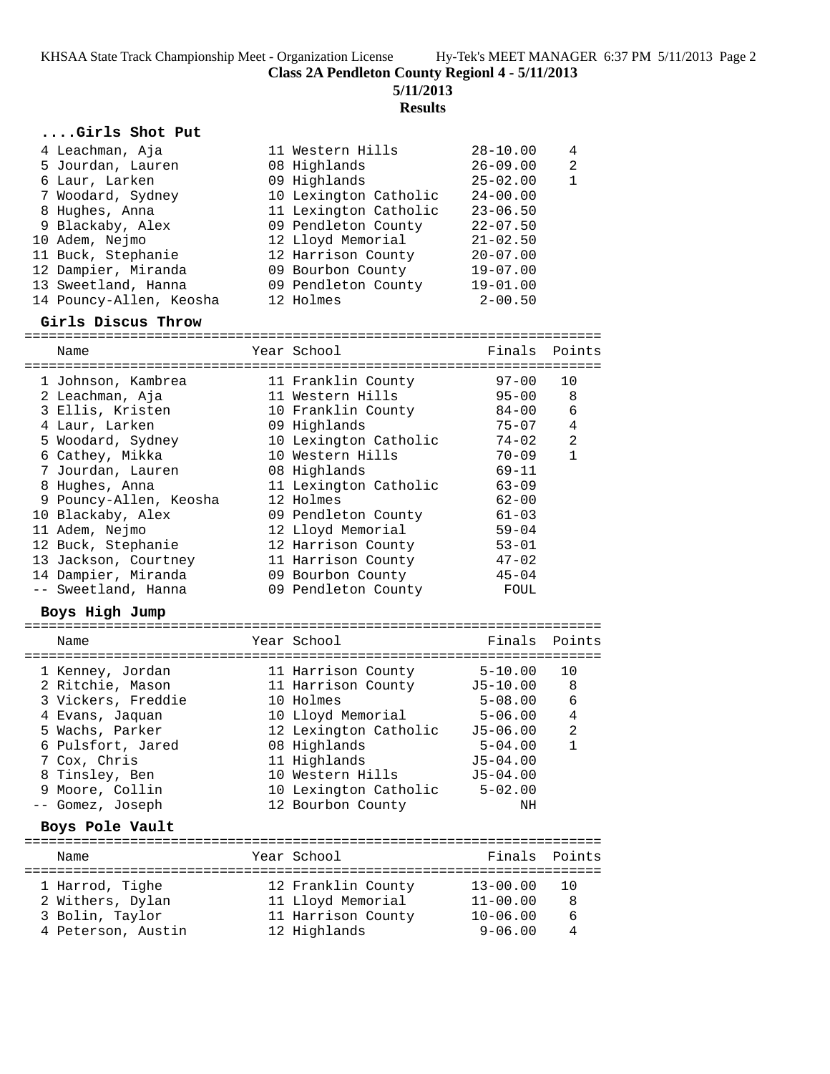**Class 2A Pendleton County Regionl 4 - 5/11/2013**

**5/11/2013**

## **Results**

### **....Girls Shot Put**

| 4 Leachman, Aja         | 11 Western Hills      | $28 - 10.00$ | 4            |
|-------------------------|-----------------------|--------------|--------------|
| 5 Jourdan, Lauren       | 08 Highlands          | $26 - 09.00$ | -2           |
| 6 Laur, Larken          | 09 Highlands          | $25 - 02.00$ | $\mathbf{1}$ |
| 7 Woodard, Sydney       | 10 Lexington Catholic | $24 - 00.00$ |              |
| 8 Hughes, Anna          | 11 Lexington Catholic | $23 - 06.50$ |              |
| 9 Blackaby, Alex        | 09 Pendleton County   | $22 - 07.50$ |              |
| 10 Adem, Nejmo          | 12 Lloyd Memorial     | $21 - 02.50$ |              |
| 11 Buck, Stephanie      | 12 Harrison County    | $20 - 07.00$ |              |
| 12 Dampier, Miranda     | 09 Bourbon County     | $19 - 07.00$ |              |
| 13 Sweetland, Hanna     | 09 Pendleton County   | $19 - 01.00$ |              |
| 14 Pouncy-Allen, Keosha | 12 Holmes             | $2 - 00.50$  |              |

#### **Girls Discus Throw**

| Name                              |  | Year School                    | Finals Points |              |  |  |
|-----------------------------------|--|--------------------------------|---------------|--------------|--|--|
|                                   |  |                                |               |              |  |  |
| 1 Johnson, Kambrea                |  |                                |               | 10           |  |  |
| 2 Leachman, Aja                   |  | 11 Western Hills               | $95 - 00$     | 8            |  |  |
| 3 Ellis, Kristen                  |  | 10 Franklin County 84-00       |               | 6            |  |  |
| 4 Laur, Larken                    |  | 09 Highlands                   | $75 - 07$     | 4            |  |  |
| 5 Woodard, Sydney                 |  | 10 Lexington Catholic 74-02    |               | 2            |  |  |
| 6 Cathey, Mikka                   |  | 10 Western Hills               | 70-09         | $\mathbf{1}$ |  |  |
| 7 Jourdan, Lauren 18 08 Highlands |  |                                | $69 - 11$     |              |  |  |
| 8 Hughes, Anna                    |  | 11 Lexington Catholic          | $63 - 09$     |              |  |  |
| 9 Pouncy-Allen, Keosha            |  | 12 Holmes                      | $62 - 00$     |              |  |  |
| 10 Blackaby, Alex                 |  | 09 Pendleton County            | $61 - 03$     |              |  |  |
| 11 Adem, Nejmo                    |  | 12 Lloyd Memorial              | $59 - 04$     |              |  |  |
| 12 Buck, Stephanie                |  | 12 Harrison County             | $53 - 01$     |              |  |  |
| 13 Jackson, Courtney              |  | 11 Harrison County             | $47 - 02$     |              |  |  |
| 14 Dampier, Miranda               |  | 09 Bourbon County              | $45 - 04$     |              |  |  |
| -- Sweetland, Hanna               |  | 09 Pendleton County            | FOUL          |              |  |  |
| Boys High Jump                    |  |                                |               |              |  |  |
|                                   |  |                                |               |              |  |  |
| Name                              |  | Year School<br>--------------  | Finals Points |              |  |  |
| --------------------------------  |  |                                | ============  |              |  |  |
| 1 Kenney, Jordan                  |  | 11 Harrison County 5-10.00     |               | 10           |  |  |
| 2 Ritchie, Mason                  |  | 11 Harrison County 15-10.00    |               | 8            |  |  |
| 3 Vickers, Freddie                |  | 10 Holmes                      | $5 - 08.00$   | 6            |  |  |
| 4 Evans, Jaquan                   |  | 10 Lloyd Memorial 5-06.00      |               | 4            |  |  |
| 5 Wachs, Parker                   |  | 12 Lexington Catholic J5-06.00 |               | 2            |  |  |

| Name              | Year School           | Finals Points      |              |
|-------------------|-----------------------|--------------------|--------------|
| Boys Pole Vault   |                       |                    |              |
| -- Gomez, Joseph  | 12 Bourbon County     | NH                 |              |
| 9 Moore, Collin   | 10 Lexington Catholic | $5 - 02.00$        |              |
| 8 Tinsley, Ben    | 10 Western Hills      | $J5 - 04.00$       |              |
| 7 Cox, Chris      | 11 Highlands          | $J5 - 04.00$       |              |
| 6 Pulsfort, Jared | 08 Highlands          | $5 - 04.00$        | $\mathbf{1}$ |
| J Wachb, rairch   | IZ DEAINGCON CACHOIIC | <u>u J-uu . uu</u> | ∠            |

| 1 Harrod, Tighe    | 12 Franklin County | $13 - 00.00$ | 10  |
|--------------------|--------------------|--------------|-----|
| 2 Withers, Dylan   | 11 Lloyd Memorial  | $11 - 00.00$ |     |
| 3 Bolin, Taylor    | 11 Harrison County | $10 - 06.00$ | - 6 |
| 4 Peterson, Austin | 12 Highlands       | $9 - 06.00$  | 4   |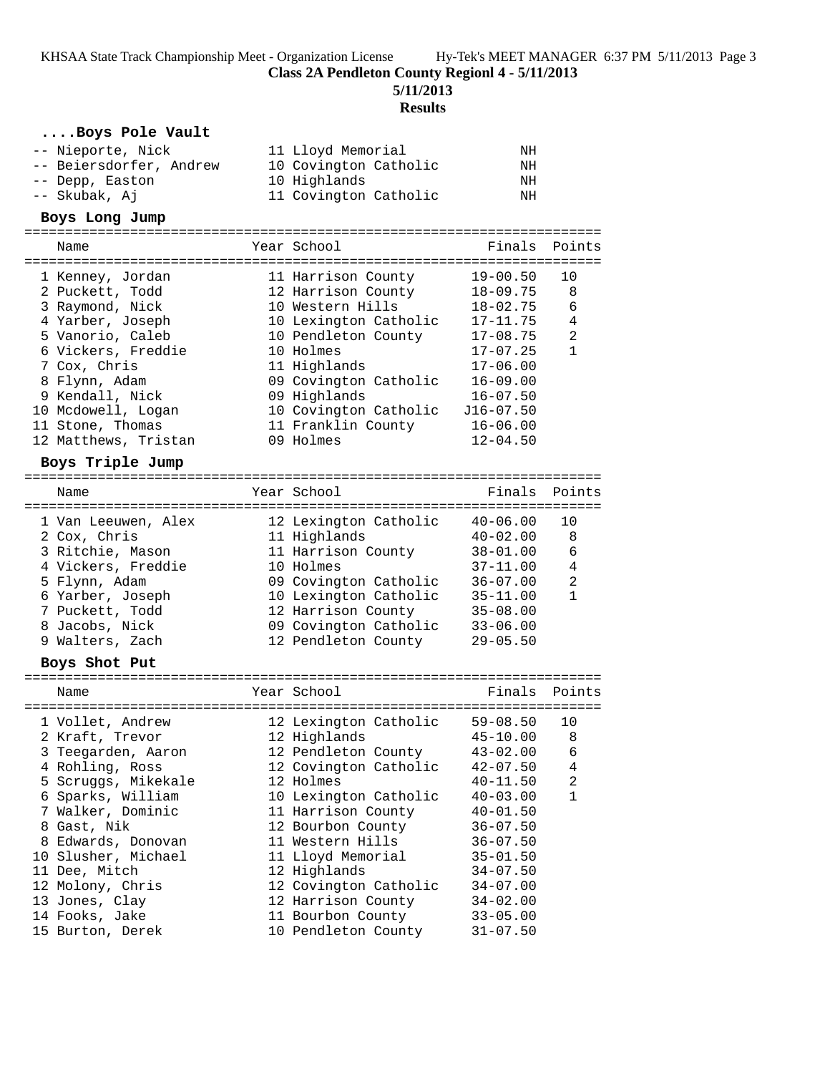**Class 2A Pendleton County Regionl 4 - 5/11/2013**

**5/11/2013**

### **Results**

# **....Boys Pole Vault**

| -- Nieporte, Nick                   | 11 Lloyd Memorial                            | ΝH                           |                     |
|-------------------------------------|----------------------------------------------|------------------------------|---------------------|
| -- Beiersdorfer, Andrew             | 10 Covington Catholic                        | ΝH                           |                     |
| -- Depp, Easton                     | 10 Highlands                                 | ΝH                           |                     |
| -- Skubak, Aj                       | 11 Covington Catholic                        | ΝH                           |                     |
| Boys Long Jump                      |                                              |                              |                     |
| Name                                | Year School                                  | Finals                       | Points              |
|                                     |                                              |                              |                     |
| 1 Kenney, Jordan                    | 11 Harrison County                           | $19 - 00.50$                 | 10                  |
| 2 Puckett, Todd                     | 12 Harrison County                           | $18 - 09.75$                 | 8                   |
| 3 Raymond, Nick                     | 10 Western Hills                             | $18 - 02.75$                 | 6                   |
| 4 Yarber, Joseph                    | 10 Lexington Catholic                        | $17 - 11.75$                 | 4                   |
| 5 Vanorio, Caleb                    | 10 Pendleton County                          | $17 - 08.75$                 | 2                   |
| 6 Vickers, Freddie                  | 10 Holmes                                    | $17 - 07.25$                 | $\mathbf{1}$        |
| 7 Cox, Chris                        | 11 Highlands                                 | $17 - 06.00$                 |                     |
| 8 Flynn, Adam                       | 09 Covington Catholic                        | $16 - 09.00$                 |                     |
| 9 Kendall, Nick                     | 09 Highlands                                 | $16 - 07.50$                 |                     |
| 10 Mcdowell, Logan                  | 10 Covington Catholic                        | $J16 - 07.50$                |                     |
| 11 Stone, Thomas                    | 11 Franklin County                           | $16 - 06.00$                 |                     |
| 12 Matthews, Tristan                | 09 Holmes                                    | $12 - 04.50$                 |                     |
| Boys Triple Jump                    |                                              |                              |                     |
|                                     |                                              |                              |                     |
| Name                                | Year School                                  | Finals                       | Points              |
|                                     |                                              |                              |                     |
| 1 Van Leeuwen, Alex                 | 12 Lexington Catholic                        | $40 - 06.00$                 | 10                  |
| 2 Cox, Chris                        | 11 Highlands                                 | $40 - 02.00$                 | 8                   |
| 3 Ritchie, Mason                    | 11 Harrison County                           | $38 - 01.00$                 | 6                   |
| 4 Vickers, Freddie                  | 10 Holmes                                    | $37 - 11.00$                 | 4<br>$\overline{a}$ |
| 5 Flynn, Adam                       | 09 Covington Catholic                        | $36 - 07.00$                 | $\mathbf{1}$        |
| 6 Yarber, Joseph<br>7 Puckett, Todd | 10 Lexington Catholic<br>12 Harrison County  | $35 - 11.00$                 |                     |
|                                     |                                              | $35 - 08.00$                 |                     |
| 8 Jacobs, Nick<br>9 Walters, Zach   | 09 Covington Catholic<br>12 Pendleton County | $33 - 06.00$<br>$29 - 05.50$ |                     |
|                                     |                                              |                              |                     |
| Boys Shot Put                       |                                              |                              |                     |
| Name                                | Year School                                  | Finals                       | Points              |
| 1 Vollet, Andrew                    | 12 Lexington Catholic                        | $59 - 08.50$                 | 10                  |
| 2 Kraft, Trevor                     | 12 Highlands                                 | $45 - 10.00$                 | 8                   |
| 3 Teegarden, Aaron                  | 12 Pendleton County                          | $43 - 02.00$                 | 6                   |
| 4 Rohling, Ross                     | 12 Covington Catholic                        | $42 - 07.50$                 | 4                   |
| 5 Scruggs, Mikekale                 | 12 Holmes                                    | $40 - 11.50$                 | 2                   |
| 6 Sparks, William                   | 10 Lexington Catholic                        | $40 - 03.00$                 | 1                   |
| 7 Walker, Dominic                   | 11 Harrison County                           | $40 - 01.50$                 |                     |
| 8 Gast, Nik                         | 12 Bourbon County                            | $36 - 07.50$                 |                     |
| 8 Edwards, Donovan                  | 11 Western Hills                             | $36 - 07.50$                 |                     |
| 10 Slusher, Michael                 | 11 Lloyd Memorial                            | $35 - 01.50$                 |                     |
| 11 Dee, Mitch                       | 12 Highlands                                 | $34 - 07.50$                 |                     |
| 12 Molony, Chris                    | 12 Covington Catholic                        | $34 - 07.00$                 |                     |
| 13 Jones, Clay                      | 12 Harrison County                           | $34 - 02.00$                 |                     |
| 14 Fooks, Jake                      | 11 Bourbon County                            | $33 - 05.00$                 |                     |
| 15 Burton, Derek                    | 10 Pendleton County                          | $31 - 07.50$                 |                     |
|                                     |                                              |                              |                     |